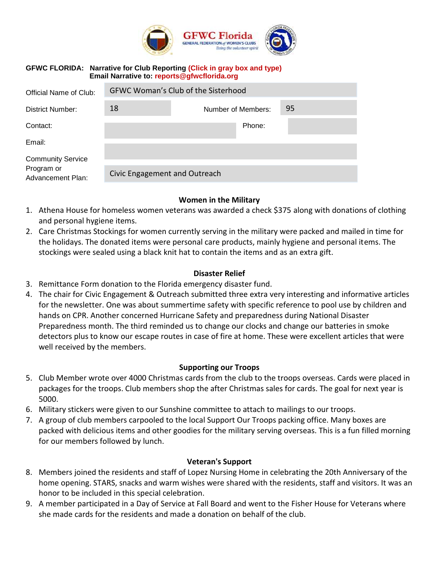

#### **GFWC FLORIDA: Narrative for Club Reporting (Click in gray box and type) Email Narrative to: reports@gfwcflorida.org**

| Official Name of Club:          | <b>GFWC Woman's Club of the Sisterhood</b> |                    |        |    |
|---------------------------------|--------------------------------------------|--------------------|--------|----|
| District Number:                | 18                                         | Number of Members: |        | 95 |
| Contact:                        |                                            |                    | Phone: |    |
| Email:                          |                                            |                    |        |    |
| <b>Community Service</b>        |                                            |                    |        |    |
| Program or<br>Advancement Plan: | Civic Engagement and Outreach              |                    |        |    |
|                                 |                                            |                    |        |    |

#### **Women in the Military**

- 1. Athena House for homeless women veterans was awarded a check \$375 along with donations of clothing and personal hygiene items.
- 2. Care Christmas Stockings for women currently serving in the military were packed and mailed in time for the holidays. The donated items were personal care products, mainly hygiene and personal items. The stockings were sealed using a black knit hat to contain the items and as an extra gift.

### **Disaster Relief**

- 3. Remittance Form donation to the Florida emergency disaster fund.
- 4. The chair for Civic Engagement & Outreach submitted three extra very interesting and informative articles for the newsletter. One was about summertime safety with specific reference to pool use by children and hands on CPR. Another concerned Hurricane Safety and preparedness during National Disaster Preparedness month. The third reminded us to change our clocks and change our batteries in smoke detectors plus to know our escape routes in case of fire at home. These were excellent articles that were well received by the members.

#### **Supporting our Troops**

- 5. Club Member wrote over 4000 Christmas cards from the club to the troops overseas. Cards were placed in packages for the troops. Club members shop the after Christmas sales for cards. The goal for next year is 5000.
- 6. Military stickers were given to our Sunshine committee to attach to mailings to our troops.
- 7. A group of club members carpooled to the local Support Our Troops packing office. Many boxes are packed with delicious items and other goodies for the military serving overseas. This is a fun filled morning for our members followed by lunch.

### **Veteran's Support**

- 8. Members joined the residents and staff of Lopez Nursing Home in celebrating the 20th Anniversary of the home opening. STARS, snacks and warm wishes were shared with the residents, staff and visitors. It was an honor to be included in this special celebration.
- 9. A member participated in a Day of Service at Fall Board and went to the Fisher House for Veterans where she made cards for the residents and made a donation on behalf of the club.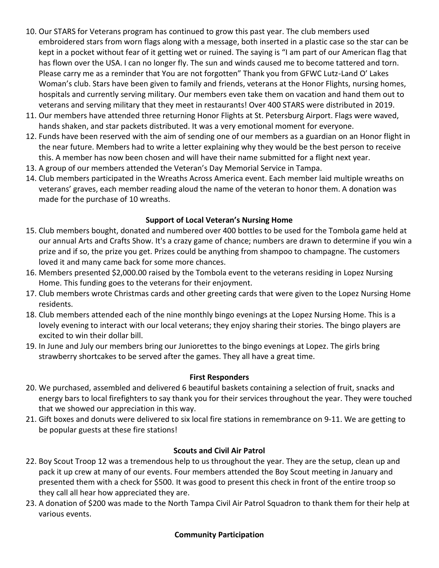- 10. Our STARS for Veterans program has continued to grow this past year. The club members used embroidered stars from worn flags along with a message, both inserted in a plastic case so the star can be kept in a pocket without fear of it getting wet or ruined. The saying is "I am part of our American flag that has flown over the USA. I can no longer fly. The sun and winds caused me to become tattered and torn. Please carry me as a reminder that You are not forgotten" Thank you from GFWC Lutz-Land O' Lakes Woman's club. Stars have been given to family and friends, veterans at the Honor Flights, nursing homes, hospitals and currently serving military. Our members even take them on vacation and hand them out to veterans and serving military that they meet in restaurants! Over 400 STARS were distributed in 2019.
- 11. Our members have attended three returning Honor Flights at St. Petersburg Airport. Flags were waved, hands shaken, and star packets distributed. It was a very emotional moment for everyone.
- 12. Funds have been reserved with the aim of sending one of our members as a guardian on an Honor flight in the near future. Members had to write a letter explaining why they would be the best person to receive this. A member has now been chosen and will have their name submitted for a flight next year.
- 13. A group of our members attended the Veteran's Day Memorial Service in Tampa.
- 14. Club members participated in the Wreaths Across America event. Each member laid multiple wreaths on veterans' graves, each member reading aloud the name of the veteran to honor them. A donation was made for the purchase of 10 wreaths.

### **Support of Local Veteran's Nursing Home**

- 15. Club members bought, donated and numbered over 400 bottles to be used for the Tombola game held at our annual Arts and Crafts Show. It's a crazy game of chance; numbers are drawn to determine if you win a prize and if so, the prize you get. Prizes could be anything from shampoo to champagne. The customers loved it and many came back for some more chances.
- 16. Members presented \$2,000.00 raised by the Tombola event to the veterans residing in Lopez Nursing Home. This funding goes to the veterans for their enjoyment.
- 17. Club members wrote Christmas cards and other greeting cards that were given to the Lopez Nursing Home residents.
- 18. Club members attended each of the nine monthly bingo evenings at the Lopez Nursing Home. This is a lovely evening to interact with our local veterans; they enjoy sharing their stories. The bingo players are excited to win their dollar bill.
- 19. In June and July our members bring our Juniorettes to the bingo evenings at Lopez. The girls bring strawberry shortcakes to be served after the games. They all have a great time.

### **First Responders**

- 20. We purchased, assembled and delivered 6 beautiful baskets containing a selection of fruit, snacks and energy bars to local firefighters to say thank you for their services throughout the year. They were touched that we showed our appreciation in this way.
- 21. Gift boxes and donuts were delivered to six local fire stations in remembrance on 9-11. We are getting to be popular guests at these fire stations!

### **Scouts and Civil Air Patrol**

- 22. Boy Scout Troop 12 was a tremendous help to us throughout the year. They are the setup, clean up and pack it up crew at many of our events. Four members attended the Boy Scout meeting in January and presented them with a check for \$500. It was good to present this check in front of the entire troop so they call all hear how appreciated they are.
- 23. A donation of \$200 was made to the North Tampa Civil Air Patrol Squadron to thank them for their help at various events.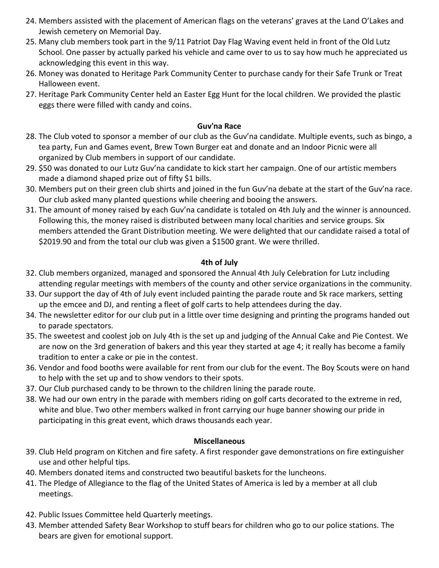- 24. Members assisted with the placement of American flags on the veterans' graves at the Land O'Lakes and Jewish cemetery on Memorial Day.
- 25. Many club members took part in the 9/11 Patriot Day Flag Waving event held in front of the Old Lutz School. One passer by actually parked his vehicle and came over to us to say how much he appreciated us acknowledging this event in this way.
- 26. Money was donated to Heritage Park Community Center to purchase candy for their Safe Trunk or Treat Halloween event.
- 27. Heritage Park Community Center held an Easter Egg Hunt for the local children. We provided the plastic eggs there were filled with candy and coins.

#### **Guv'na Race**

- 28. The Club voted to sponsor a member of our club as the Guv'na candidate. Multiple events, such as bingo, a tea party, Fun and Games event, Brew Town Burger eat and donate and an Indoor Picnic were all organized by Club members in support of our candidate.
- 29. \$50 was donated to our Lutz Guv'na candidate to kick start her campaign. One of our artistic members made a diamond shaped prize out of fifty \$1 bills.
- 30. Members put on their green club shirts and joined in the fun Guv'na debate at the start of the Guv'na race. Our club asked many planted questions while cheering and booing the answers.
- 31. The amount of money raised by each Guv'na candidate is totaled on 4th July and the winner is announced. Following this, the money raised is distributed between many local charities and service groups. Six members attended the Grant Distribution meeting. We were delighted that our candidate raised a total of \$2019.90 and from the total our club was given a \$1500 grant. We were thrilled.

### **4th of July**

- 32. Club members organized, managed and sponsored the Annual 4th July Celebration for Lutz including attending regular meetings with members of the county and other service organizations in the community.
- 33. Our support the day of 4th of July event included painting the parade route and 5k race markers, setting up the emcee and DJ, and renting a fleet of golf carts to help attendees during the day.
- 34. The newsletter editor for our club put in a little over time designing and printing the programs handed out to parade spectators.
- 35. The sweetest and coolest job on July 4th is the set up and judging of the Annual Cake and Pie Contest. We are now on the 3rd generation of bakers and this year they started at age 4; it really has become a family tradition to enter a cake or pie in the contest.
- 36. Vendor and food booths were available for rent from our club for the event. The Boy Scouts were on hand to help with the set up and to show vendors to their spots.
- 37. Our Club purchased candy to be thrown to the children lining the parade route.
- 38. We had our own entry in the parade with members riding on golf carts decorated to the extreme in red, white and blue. Two other members walked in front carrying our huge banner showing our pride in participating in this great event, which draws thousands each year.

### **Miscellaneous**

- 39. Club Held program on Kitchen and fire safety. A first responder gave demonstrations on fire extinguisher use and other helpful tips.
- 40. Members donated items and constructed two beautiful baskets for the luncheons.
- 41. The Pledge of Allegiance to the flag of the United States of America is led by a member at all club meetings.
- 42. Public Issues Committee held Quarterly meetings.
- 43. Member attended Safety Bear Workshop to stuff bears for children who go to our police stations. The bears are given for emotional support.